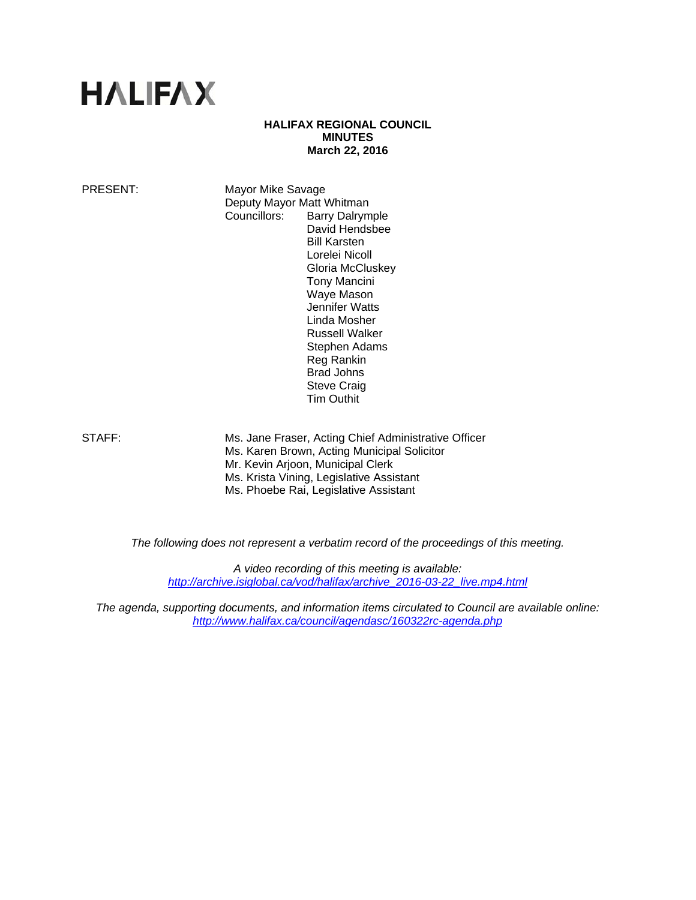# **HALIFAX**

## **HALIFAX REGIONAL COUNCIL MINUTES March 22, 2016**

PRESENT: Mayor Mike Savage Deputy Mayor Matt Whitman Councillors: Barry Dalrymple David Hendsbee Bill Karsten Lorelei Nicoll Gloria McCluskey Tony Mancini Waye Mason Jennifer Watts Linda Mosher Russell Walker Stephen Adams Reg Rankin Brad Johns Steve Craig Tim Outhit

STAFF: Ms. Jane Fraser, Acting Chief Administrative Officer Ms. Karen Brown, Acting Municipal Solicitor Mr. Kevin Arjoon, Municipal Clerk Ms. Krista Vining, Legislative Assistant Ms. Phoebe Rai, Legislative Assistant

*The following does not represent a verbatim record of the proceedings of this meeting.* 

*A video recording of this meeting is available: http://archive.isiglobal.ca/vod/halifax/archive\_2016-03-22\_live.mp4.html* 

*The agenda, supporting documents, and information items circulated to Council are available online: http://www.halifax.ca/council/agendasc/160322rc-agenda.php*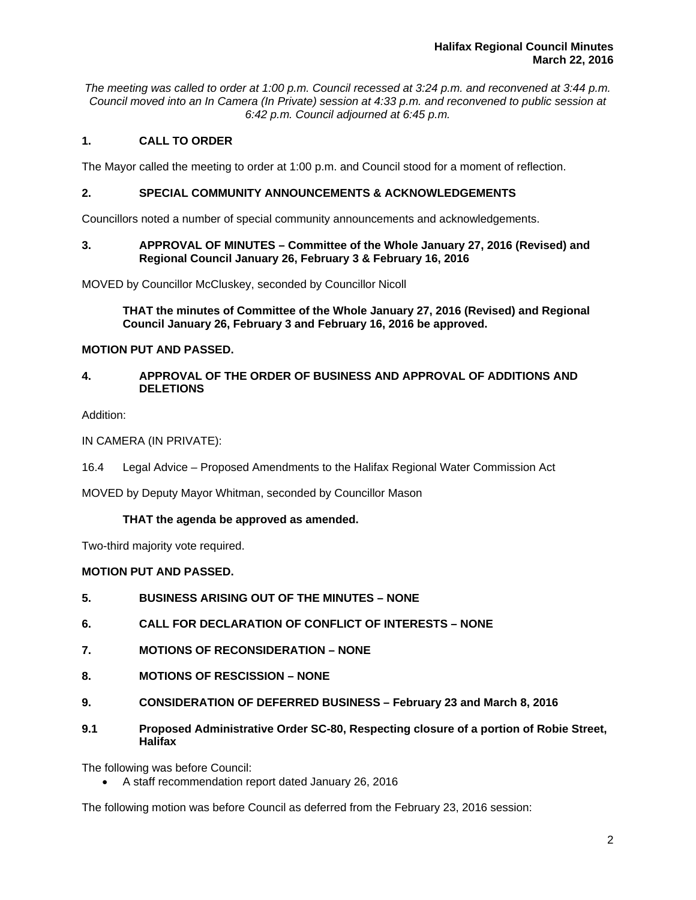*The meeting was called to order at 1:00 p.m. Council recessed at 3:24 p.m. and reconvened at 3:44 p.m. Council moved into an In Camera (In Private) session at 4:33 p.m. and reconvened to public session at 6:42 p.m. Council adjourned at 6:45 p.m.*

# **1. CALL TO ORDER**

The Mayor called the meeting to order at 1:00 p.m. and Council stood for a moment of reflection.

# **2. SPECIAL COMMUNITY ANNOUNCEMENTS & ACKNOWLEDGEMENTS**

Councillors noted a number of special community announcements and acknowledgements.

## **3. APPROVAL OF MINUTES – Committee of the Whole January 27, 2016 (Revised) and Regional Council January 26, February 3 & February 16, 2016**

MOVED by Councillor McCluskey, seconded by Councillor Nicoll

**THAT the minutes of Committee of the Whole January 27, 2016 (Revised) and Regional Council January 26, February 3 and February 16, 2016 be approved.** 

# **MOTION PUT AND PASSED.**

## **4. APPROVAL OF THE ORDER OF BUSINESS AND APPROVAL OF ADDITIONS AND DELETIONS**

Addition:

IN CAMERA (IN PRIVATE):

16.4 Legal Advice – Proposed Amendments to the Halifax Regional Water Commission Act

MOVED by Deputy Mayor Whitman, seconded by Councillor Mason

# **THAT the agenda be approved as amended.**

Two-third majority vote required.

# **MOTION PUT AND PASSED.**

- **5. BUSINESS ARISING OUT OF THE MINUTES NONE**
- **6. CALL FOR DECLARATION OF CONFLICT OF INTERESTS NONE**
- **7. MOTIONS OF RECONSIDERATION NONE**
- **8. MOTIONS OF RESCISSION NONE**
- **9. CONSIDERATION OF DEFERRED BUSINESS February 23 and March 8, 2016**
- **9.1 Proposed Administrative Order SC-80, Respecting closure of a portion of Robie Street, Halifax**

The following was before Council:

A staff recommendation report dated January 26, 2016

The following motion was before Council as deferred from the February 23, 2016 session: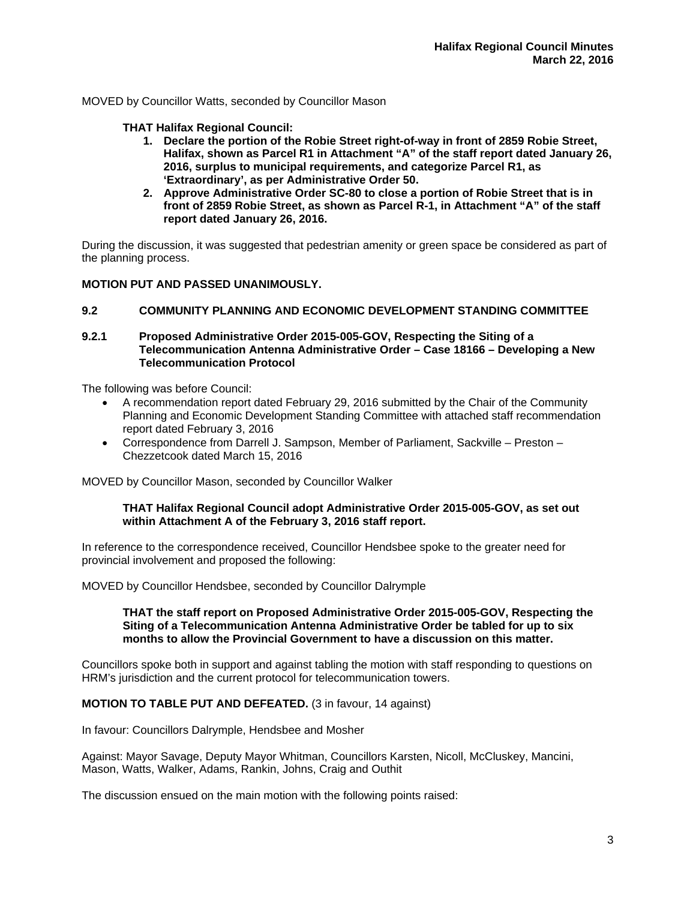MOVED by Councillor Watts, seconded by Councillor Mason

## **THAT Halifax Regional Council:**

- **1. Declare the portion of the Robie Street right-of-way in front of 2859 Robie Street, Halifax, shown as Parcel R1 in Attachment "A" of the staff report dated January 26, 2016, surplus to municipal requirements, and categorize Parcel R1, as 'Extraordinary', as per Administrative Order 50.**
- **2. Approve Administrative Order SC-80 to close a portion of Robie Street that is in front of 2859 Robie Street, as shown as Parcel R-1, in Attachment "A" of the staff report dated January 26, 2016.**

During the discussion, it was suggested that pedestrian amenity or green space be considered as part of the planning process.

## **MOTION PUT AND PASSED UNANIMOUSLY.**

## **9.2 COMMUNITY PLANNING AND ECONOMIC DEVELOPMENT STANDING COMMITTEE**

## **9.2.1 Proposed Administrative Order 2015-005-GOV, Respecting the Siting of a Telecommunication Antenna Administrative Order – Case 18166 – Developing a New Telecommunication Protocol**

The following was before Council:

- A recommendation report dated February 29, 2016 submitted by the Chair of the Community Planning and Economic Development Standing Committee with attached staff recommendation report dated February 3, 2016
- Correspondence from Darrell J. Sampson, Member of Parliament, Sackville Preston Chezzetcook dated March 15, 2016

MOVED by Councillor Mason, seconded by Councillor Walker

#### **THAT Halifax Regional Council adopt Administrative Order 2015-005-GOV, as set out within Attachment A of the February 3, 2016 staff report.**

In reference to the correspondence received, Councillor Hendsbee spoke to the greater need for provincial involvement and proposed the following:

MOVED by Councillor Hendsbee, seconded by Councillor Dalrymple

#### **THAT the staff report on Proposed Administrative Order 2015-005-GOV, Respecting the Siting of a Telecommunication Antenna Administrative Order be tabled for up to six months to allow the Provincial Government to have a discussion on this matter.**

Councillors spoke both in support and against tabling the motion with staff responding to questions on HRM's jurisdiction and the current protocol for telecommunication towers.

## **MOTION TO TABLE PUT AND DEFEATED.** (3 in favour, 14 against)

In favour: Councillors Dalrymple, Hendsbee and Mosher

Against: Mayor Savage, Deputy Mayor Whitman, Councillors Karsten, Nicoll, McCluskey, Mancini, Mason, Watts, Walker, Adams, Rankin, Johns, Craig and Outhit

The discussion ensued on the main motion with the following points raised: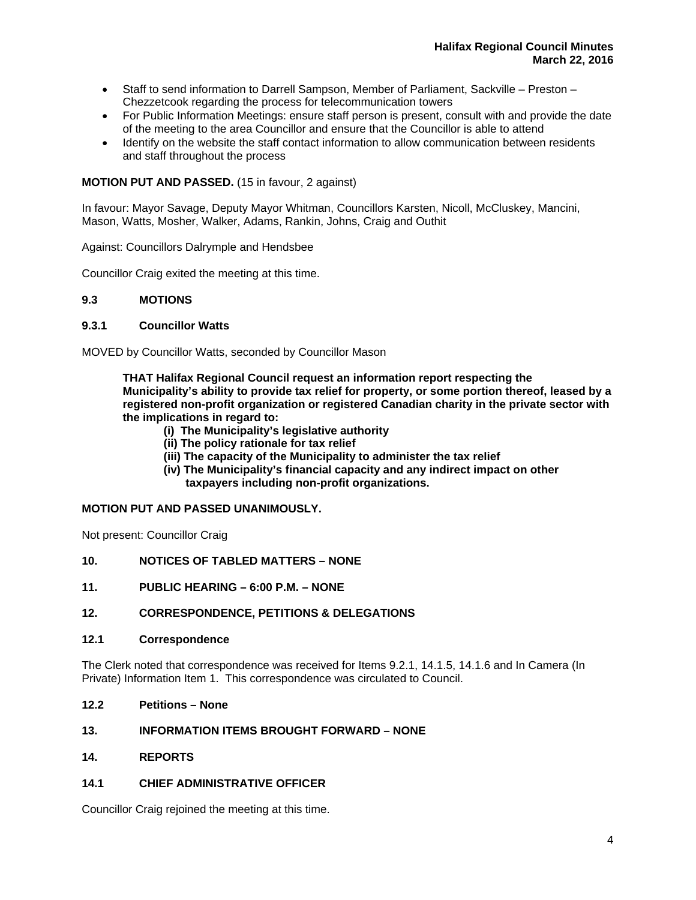- Staff to send information to Darrell Sampson, Member of Parliament, Sackville Preston Chezzetcook regarding the process for telecommunication towers
- For Public Information Meetings: ensure staff person is present, consult with and provide the date of the meeting to the area Councillor and ensure that the Councillor is able to attend
- Identify on the website the staff contact information to allow communication between residents and staff throughout the process

# **MOTION PUT AND PASSED.** (15 in favour, 2 against)

In favour: Mayor Savage, Deputy Mayor Whitman, Councillors Karsten, Nicoll, McCluskey, Mancini, Mason, Watts, Mosher, Walker, Adams, Rankin, Johns, Craig and Outhit

Against: Councillors Dalrymple and Hendsbee

Councillor Craig exited the meeting at this time.

# **9.3 MOTIONS**

# **9.3.1 Councillor Watts**

MOVED by Councillor Watts, seconded by Councillor Mason

**THAT Halifax Regional Council request an information report respecting the Municipality's ability to provide tax relief for property, or some portion thereof, leased by a registered non-profit organization or registered Canadian charity in the private sector with the implications in regard to:** 

- **(i) The Municipality's legislative authority**
- **(ii) The policy rationale for tax relief**
- **(iii) The capacity of the Municipality to administer the tax relief**
- **(iv) The Municipality's financial capacity and any indirect impact on other taxpayers including non-profit organizations.**

# **MOTION PUT AND PASSED UNANIMOUSLY.**

Not present: Councillor Craig

- **10. NOTICES OF TABLED MATTERS NONE**
- **11. PUBLIC HEARING 6:00 P.M. NONE**

# **12. CORRESPONDENCE, PETITIONS & DELEGATIONS**

## **12.1 Correspondence**

The Clerk noted that correspondence was received for Items 9.2.1, 14.1.5, 14.1.6 and In Camera (In Private) Information Item 1. This correspondence was circulated to Council.

**12.2 Petitions – None** 

# **13. INFORMATION ITEMS BROUGHT FORWARD – NONE**

**14. REPORTS** 

## **14.1 CHIEF ADMINISTRATIVE OFFICER**

Councillor Craig rejoined the meeting at this time.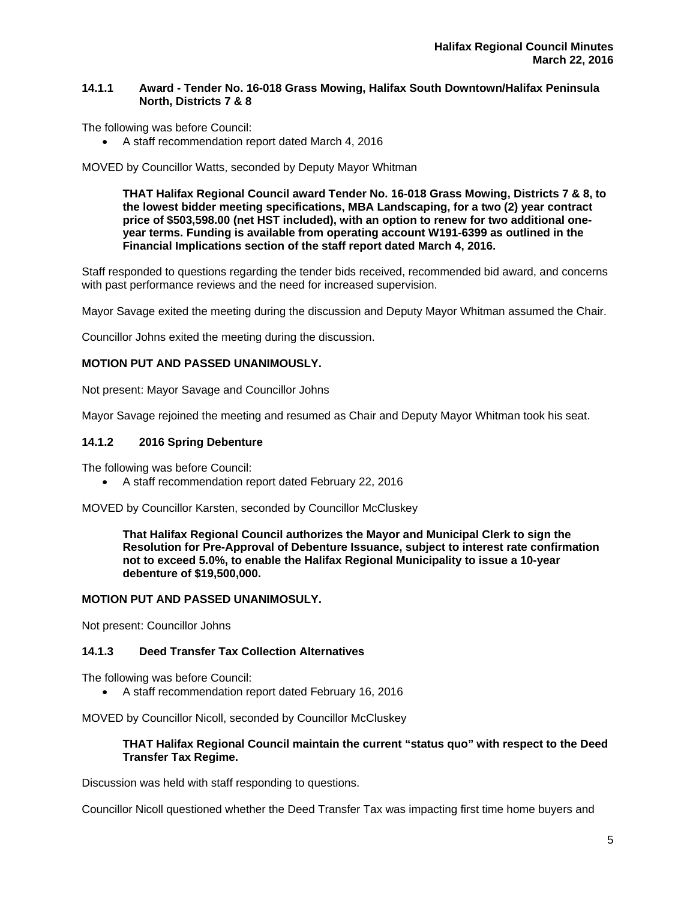# **14.1.1 Award - Tender No. 16-018 Grass Mowing, Halifax South Downtown/Halifax Peninsula North, Districts 7 & 8**

The following was before Council:

A staff recommendation report dated March 4, 2016

MOVED by Councillor Watts, seconded by Deputy Mayor Whitman

**THAT Halifax Regional Council award Tender No. 16-018 Grass Mowing, Districts 7 & 8, to the lowest bidder meeting specifications, MBA Landscaping, for a two (2) year contract price of \$503,598.00 (net HST included), with an option to renew for two additional oneyear terms. Funding is available from operating account W191-6399 as outlined in the Financial Implications section of the staff report dated March 4, 2016.** 

Staff responded to questions regarding the tender bids received, recommended bid award, and concerns with past performance reviews and the need for increased supervision.

Mayor Savage exited the meeting during the discussion and Deputy Mayor Whitman assumed the Chair.

Councillor Johns exited the meeting during the discussion.

## **MOTION PUT AND PASSED UNANIMOUSLY.**

Not present: Mayor Savage and Councillor Johns

Mayor Savage rejoined the meeting and resumed as Chair and Deputy Mayor Whitman took his seat.

## **14.1.2 2016 Spring Debenture**

The following was before Council:

A staff recommendation report dated February 22, 2016

MOVED by Councillor Karsten, seconded by Councillor McCluskey

**That Halifax Regional Council authorizes the Mayor and Municipal Clerk to sign the Resolution for Pre-Approval of Debenture Issuance, subject to interest rate confirmation not to exceed 5.0%, to enable the Halifax Regional Municipality to issue a 10-year debenture of \$19,500,000.** 

# **MOTION PUT AND PASSED UNANIMOSULY.**

Not present: Councillor Johns

# **14.1.3 Deed Transfer Tax Collection Alternatives**

The following was before Council:

A staff recommendation report dated February 16, 2016

MOVED by Councillor Nicoll, seconded by Councillor McCluskey

## **THAT Halifax Regional Council maintain the current "status quo" with respect to the Deed Transfer Tax Regime.**

Discussion was held with staff responding to questions.

Councillor Nicoll questioned whether the Deed Transfer Tax was impacting first time home buyers and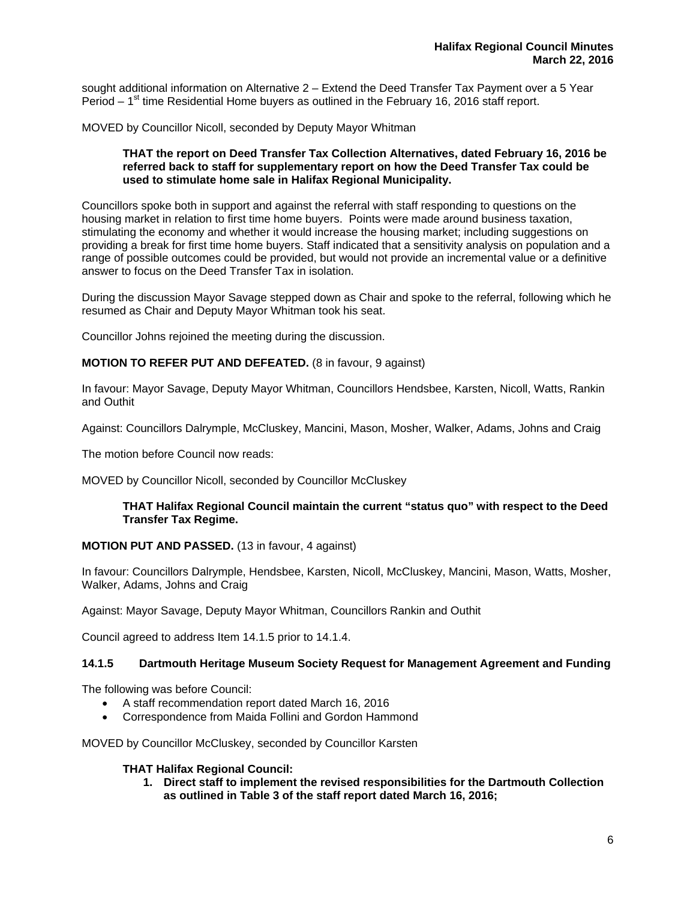sought additional information on Alternative 2 – Extend the Deed Transfer Tax Payment over a 5 Year Period –  $1<sup>st</sup>$  time Residential Home buyers as outlined in the February 16, 2016 staff report.

MOVED by Councillor Nicoll, seconded by Deputy Mayor Whitman

## **THAT the report on Deed Transfer Tax Collection Alternatives, dated February 16, 2016 be referred back to staff for supplementary report on how the Deed Transfer Tax could be used to stimulate home sale in Halifax Regional Municipality.**

Councillors spoke both in support and against the referral with staff responding to questions on the housing market in relation to first time home buyers. Points were made around business taxation, stimulating the economy and whether it would increase the housing market; including suggestions on providing a break for first time home buyers. Staff indicated that a sensitivity analysis on population and a range of possible outcomes could be provided, but would not provide an incremental value or a definitive answer to focus on the Deed Transfer Tax in isolation.

During the discussion Mayor Savage stepped down as Chair and spoke to the referral, following which he resumed as Chair and Deputy Mayor Whitman took his seat.

Councillor Johns rejoined the meeting during the discussion.

## **MOTION TO REFER PUT AND DEFEATED.** (8 in favour, 9 against)

In favour: Mayor Savage, Deputy Mayor Whitman, Councillors Hendsbee, Karsten, Nicoll, Watts, Rankin and Outhit

Against: Councillors Dalrymple, McCluskey, Mancini, Mason, Mosher, Walker, Adams, Johns and Craig

The motion before Council now reads:

MOVED by Councillor Nicoll, seconded by Councillor McCluskey

#### **THAT Halifax Regional Council maintain the current "status quo" with respect to the Deed Transfer Tax Regime.**

#### **MOTION PUT AND PASSED.** (13 in favour, 4 against)

In favour: Councillors Dalrymple, Hendsbee, Karsten, Nicoll, McCluskey, Mancini, Mason, Watts, Mosher, Walker, Adams, Johns and Craig

Against: Mayor Savage, Deputy Mayor Whitman, Councillors Rankin and Outhit

Council agreed to address Item 14.1.5 prior to 14.1.4.

## **14.1.5 Dartmouth Heritage Museum Society Request for Management Agreement and Funding**

The following was before Council:

- A staff recommendation report dated March 16, 2016
- Correspondence from Maida Follini and Gordon Hammond

MOVED by Councillor McCluskey, seconded by Councillor Karsten

## **THAT Halifax Regional Council:**

**1. Direct staff to implement the revised responsibilities for the Dartmouth Collection as outlined in Table 3 of the staff report dated March 16, 2016;**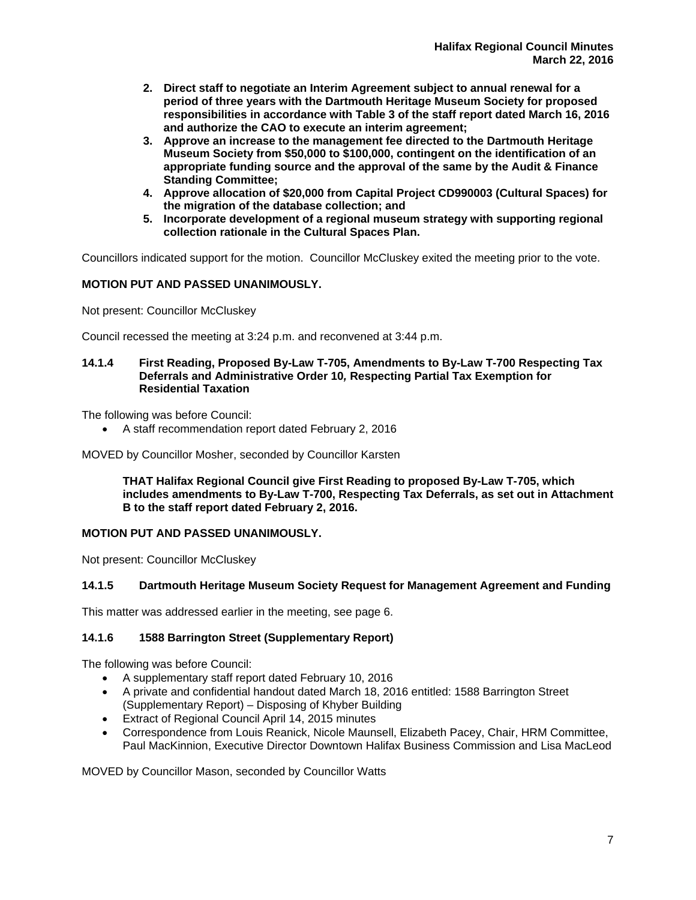- **2. Direct staff to negotiate an Interim Agreement subject to annual renewal for a period of three years with the Dartmouth Heritage Museum Society for proposed responsibilities in accordance with Table 3 of the staff report dated March 16, 2016 and authorize the CAO to execute an interim agreement;**
- **3. Approve an increase to the management fee directed to the Dartmouth Heritage Museum Society from \$50,000 to \$100,000, contingent on the identification of an appropriate funding source and the approval of the same by the Audit & Finance Standing Committee;**
- **4. Approve allocation of \$20,000 from Capital Project CD990003 (Cultural Spaces) for the migration of the database collection; and**
- **5. Incorporate development of a regional museum strategy with supporting regional collection rationale in the Cultural Spaces Plan.**

Councillors indicated support for the motion. Councillor McCluskey exited the meeting prior to the vote.

# **MOTION PUT AND PASSED UNANIMOUSLY.**

Not present: Councillor McCluskey

Council recessed the meeting at 3:24 p.m. and reconvened at 3:44 p.m.

# **14.1.4 First Reading, Proposed By-Law T-705, Amendments to By-Law T-700 Respecting Tax Deferrals and Administrative Order 10***,* **Respecting Partial Tax Exemption for Residential Taxation**

The following was before Council:

A staff recommendation report dated February 2, 2016

MOVED by Councillor Mosher, seconded by Councillor Karsten

**THAT Halifax Regional Council give First Reading to proposed By-Law T-705, which includes amendments to By-Law T-700, Respecting Tax Deferrals, as set out in Attachment B to the staff report dated February 2, 2016.** 

# **MOTION PUT AND PASSED UNANIMOUSLY.**

Not present: Councillor McCluskey

# **14.1.5 Dartmouth Heritage Museum Society Request for Management Agreement and Funding**

This matter was addressed earlier in the meeting, see page 6.

# **14.1.6 1588 Barrington Street (Supplementary Report)**

The following was before Council:

- A supplementary staff report dated February 10, 2016
- A private and confidential handout dated March 18, 2016 entitled: 1588 Barrington Street (Supplementary Report) – Disposing of Khyber Building
- **Extract of Regional Council April 14, 2015 minutes**
- Correspondence from Louis Reanick, Nicole Maunsell, Elizabeth Pacey, Chair, HRM Committee, Paul MacKinnion, Executive Director Downtown Halifax Business Commission and Lisa MacLeod

MOVED by Councillor Mason, seconded by Councillor Watts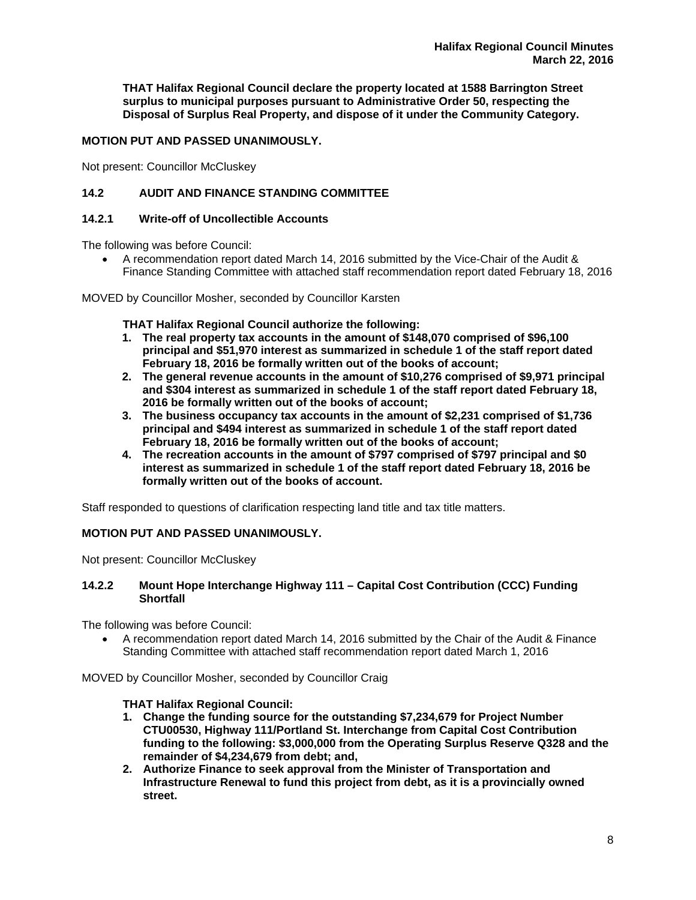**THAT Halifax Regional Council declare the property located at 1588 Barrington Street surplus to municipal purposes pursuant to Administrative Order 50, respecting the Disposal of Surplus Real Property, and dispose of it under the Community Category.** 

# **MOTION PUT AND PASSED UNANIMOUSLY.**

Not present: Councillor McCluskey

# **14.2 AUDIT AND FINANCE STANDING COMMITTEE**

## **14.2.1 Write-off of Uncollectible Accounts**

The following was before Council:

- A recommendation report dated March 14, 2016 submitted by the Vice-Chair of the Audit & Finance Standing Committee with attached staff recommendation report dated February 18, 2016
- MOVED by Councillor Mosher, seconded by Councillor Karsten

**THAT Halifax Regional Council authorize the following:** 

- **1. The real property tax accounts in the amount of \$148,070 comprised of \$96,100 principal and \$51,970 interest as summarized in schedule 1 of the staff report dated February 18, 2016 be formally written out of the books of account;**
- **2. The general revenue accounts in the amount of \$10,276 comprised of \$9,971 principal and \$304 interest as summarized in schedule 1 of the staff report dated February 18, 2016 be formally written out of the books of account;**
- **3. The business occupancy tax accounts in the amount of \$2,231 comprised of \$1,736 principal and \$494 interest as summarized in schedule 1 of the staff report dated February 18, 2016 be formally written out of the books of account;**
- **4. The recreation accounts in the amount of \$797 comprised of \$797 principal and \$0 interest as summarized in schedule 1 of the staff report dated February 18, 2016 be formally written out of the books of account.**

Staff responded to questions of clarification respecting land title and tax title matters.

# **MOTION PUT AND PASSED UNANIMOUSLY.**

Not present: Councillor McCluskey

## **14.2.2 Mount Hope Interchange Highway 111 – Capital Cost Contribution (CCC) Funding Shortfall**

The following was before Council:

 A recommendation report dated March 14, 2016 submitted by the Chair of the Audit & Finance Standing Committee with attached staff recommendation report dated March 1, 2016

MOVED by Councillor Mosher, seconded by Councillor Craig

# **THAT Halifax Regional Council:**

- **1. Change the funding source for the outstanding \$7,234,679 for Project Number CTU00530, Highway 111/Portland St. Interchange from Capital Cost Contribution funding to the following: \$3,000,000 from the Operating Surplus Reserve Q328 and the remainder of \$4,234,679 from debt; and,**
- **2. Authorize Finance to seek approval from the Minister of Transportation and Infrastructure Renewal to fund this project from debt, as it is a provincially owned street.**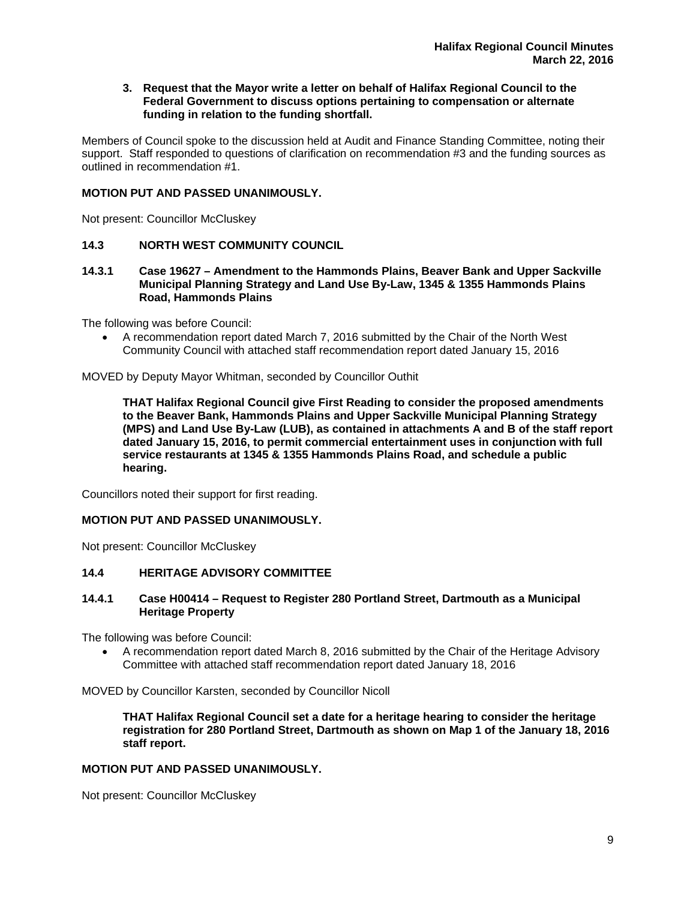**3. Request that the Mayor write a letter on behalf of Halifax Regional Council to the Federal Government to discuss options pertaining to compensation or alternate funding in relation to the funding shortfall.** 

Members of Council spoke to the discussion held at Audit and Finance Standing Committee, noting their support. Staff responded to questions of clarification on recommendation #3 and the funding sources as outlined in recommendation #1.

## **MOTION PUT AND PASSED UNANIMOUSLY.**

Not present: Councillor McCluskey

# **14.3 NORTH WEST COMMUNITY COUNCIL**

**14.3.1 Case 19627 – Amendment to the Hammonds Plains, Beaver Bank and Upper Sackville Municipal Planning Strategy and Land Use By-Law, 1345 & 1355 Hammonds Plains Road, Hammonds Plains** 

The following was before Council:

 A recommendation report dated March 7, 2016 submitted by the Chair of the North West Community Council with attached staff recommendation report dated January 15, 2016

MOVED by Deputy Mayor Whitman, seconded by Councillor Outhit

**THAT Halifax Regional Council give First Reading to consider the proposed amendments to the Beaver Bank, Hammonds Plains and Upper Sackville Municipal Planning Strategy (MPS) and Land Use By-Law (LUB), as contained in attachments A and B of the staff report dated January 15, 2016, to permit commercial entertainment uses in conjunction with full service restaurants at 1345 & 1355 Hammonds Plains Road, and schedule a public hearing.** 

Councillors noted their support for first reading.

## **MOTION PUT AND PASSED UNANIMOUSLY.**

Not present: Councillor McCluskey

## **14.4 HERITAGE ADVISORY COMMITTEE**

## **14.4.1 Case H00414 – Request to Register 280 Portland Street, Dartmouth as a Municipal Heritage Property**

The following was before Council:

 A recommendation report dated March 8, 2016 submitted by the Chair of the Heritage Advisory Committee with attached staff recommendation report dated January 18, 2016

MOVED by Councillor Karsten, seconded by Councillor Nicoll

**THAT Halifax Regional Council set a date for a heritage hearing to consider the heritage registration for 280 Portland Street, Dartmouth as shown on Map 1 of the January 18, 2016 staff report.** 

## **MOTION PUT AND PASSED UNANIMOUSLY.**

Not present: Councillor McCluskey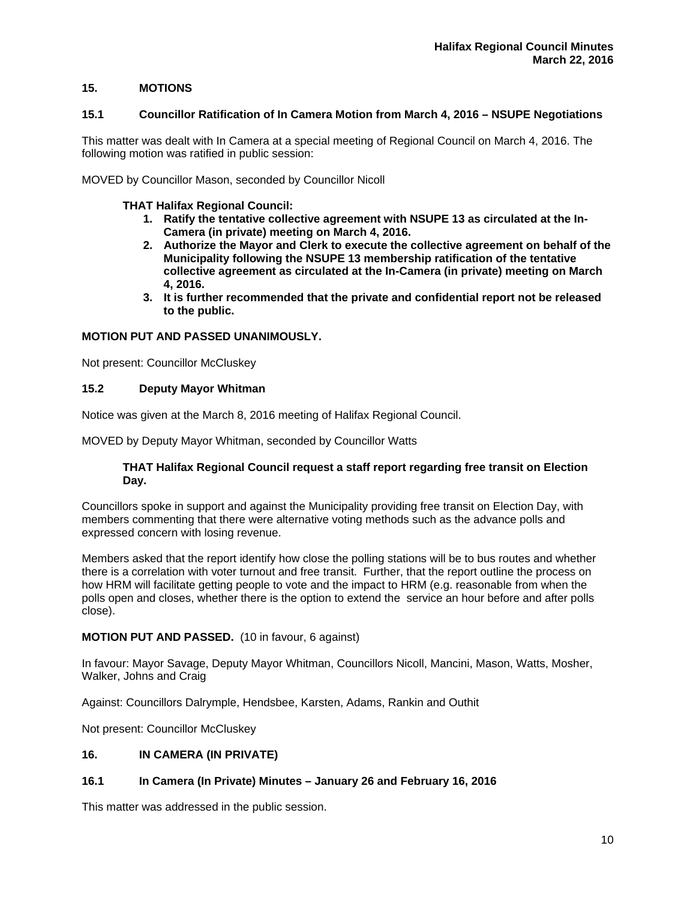# **15. MOTIONS**

#### **15.1 Councillor Ratification of In Camera Motion from March 4, 2016 – NSUPE Negotiations**

This matter was dealt with In Camera at a special meeting of Regional Council on March 4, 2016. The following motion was ratified in public session:

MOVED by Councillor Mason, seconded by Councillor Nicoll

## **THAT Halifax Regional Council:**

- **1. Ratify the tentative collective agreement with NSUPE 13 as circulated at the In-Camera (in private) meeting on March 4, 2016.**
- **2. Authorize the Mayor and Clerk to execute the collective agreement on behalf of the Municipality following the NSUPE 13 membership ratification of the tentative collective agreement as circulated at the In-Camera (in private) meeting on March 4, 2016.**
- **3. It is further recommended that the private and confidential report not be released to the public.**

# **MOTION PUT AND PASSED UNANIMOUSLY.**

Not present: Councillor McCluskey

## **15.2 Deputy Mayor Whitman**

Notice was given at the March 8, 2016 meeting of Halifax Regional Council.

MOVED by Deputy Mayor Whitman, seconded by Councillor Watts

## **THAT Halifax Regional Council request a staff report regarding free transit on Election Day.**

Councillors spoke in support and against the Municipality providing free transit on Election Day, with members commenting that there were alternative voting methods such as the advance polls and expressed concern with losing revenue.

Members asked that the report identify how close the polling stations will be to bus routes and whether there is a correlation with voter turnout and free transit. Further, that the report outline the process on how HRM will facilitate getting people to vote and the impact to HRM (e.g. reasonable from when the polls open and closes, whether there is the option to extend the service an hour before and after polls close).

# **MOTION PUT AND PASSED.** (10 in favour, 6 against)

In favour: Mayor Savage, Deputy Mayor Whitman, Councillors Nicoll, Mancini, Mason, Watts, Mosher, Walker, Johns and Craig

Against: Councillors Dalrymple, Hendsbee, Karsten, Adams, Rankin and Outhit

Not present: Councillor McCluskey

## **16. IN CAMERA (IN PRIVATE)**

# **16.1 In Camera (In Private) Minutes – January 26 and February 16, 2016**

This matter was addressed in the public session.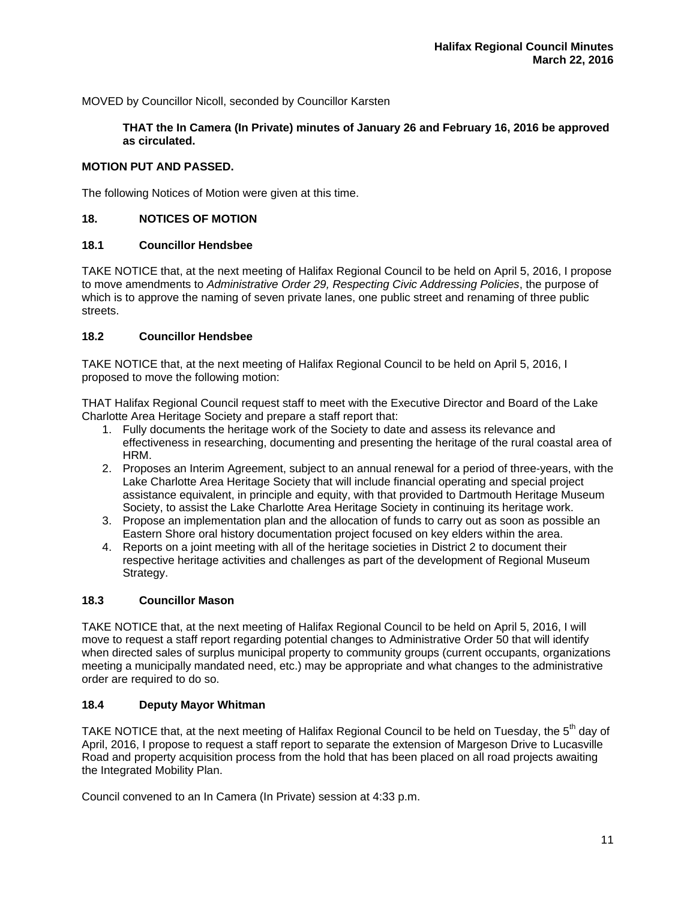MOVED by Councillor Nicoll, seconded by Councillor Karsten

**THAT the In Camera (In Private) minutes of January 26 and February 16, 2016 be approved as circulated.** 

# **MOTION PUT AND PASSED.**

The following Notices of Motion were given at this time.

# **18. NOTICES OF MOTION**

# **18.1 Councillor Hendsbee**

TAKE NOTICE that, at the next meeting of Halifax Regional Council to be held on April 5, 2016, I propose to move amendments to *Administrative Order 29, Respecting Civic Addressing Policies*, the purpose of which is to approve the naming of seven private lanes, one public street and renaming of three public streets.

# **18.2 Councillor Hendsbee**

TAKE NOTICE that, at the next meeting of Halifax Regional Council to be held on April 5, 2016, I proposed to move the following motion:

THAT Halifax Regional Council request staff to meet with the Executive Director and Board of the Lake Charlotte Area Heritage Society and prepare a staff report that:

- 1. Fully documents the heritage work of the Society to date and assess its relevance and effectiveness in researching, documenting and presenting the heritage of the rural coastal area of HRM.
- 2. Proposes an Interim Agreement, subject to an annual renewal for a period of three-years, with the Lake Charlotte Area Heritage Society that will include financial operating and special project assistance equivalent, in principle and equity, with that provided to Dartmouth Heritage Museum Society, to assist the Lake Charlotte Area Heritage Society in continuing its heritage work.
- 3. Propose an implementation plan and the allocation of funds to carry out as soon as possible an Eastern Shore oral history documentation project focused on key elders within the area.
- 4. Reports on a joint meeting with all of the heritage societies in District 2 to document their respective heritage activities and challenges as part of the development of Regional Museum Strategy.

# **18.3 Councillor Mason**

TAKE NOTICE that, at the next meeting of Halifax Regional Council to be held on April 5, 2016, I will move to request a staff report regarding potential changes to Administrative Order 50 that will identify when directed sales of surplus municipal property to community groups (current occupants, organizations meeting a municipally mandated need, etc.) may be appropriate and what changes to the administrative order are required to do so.

## **18.4 Deputy Mayor Whitman**

TAKE NOTICE that, at the next meeting of Halifax Regional Council to be held on Tuesday, the 5<sup>th</sup> day of April, 2016, I propose to request a staff report to separate the extension of Margeson Drive to Lucasville Road and property acquisition process from the hold that has been placed on all road projects awaiting the Integrated Mobility Plan.

Council convened to an In Camera (In Private) session at 4:33 p.m.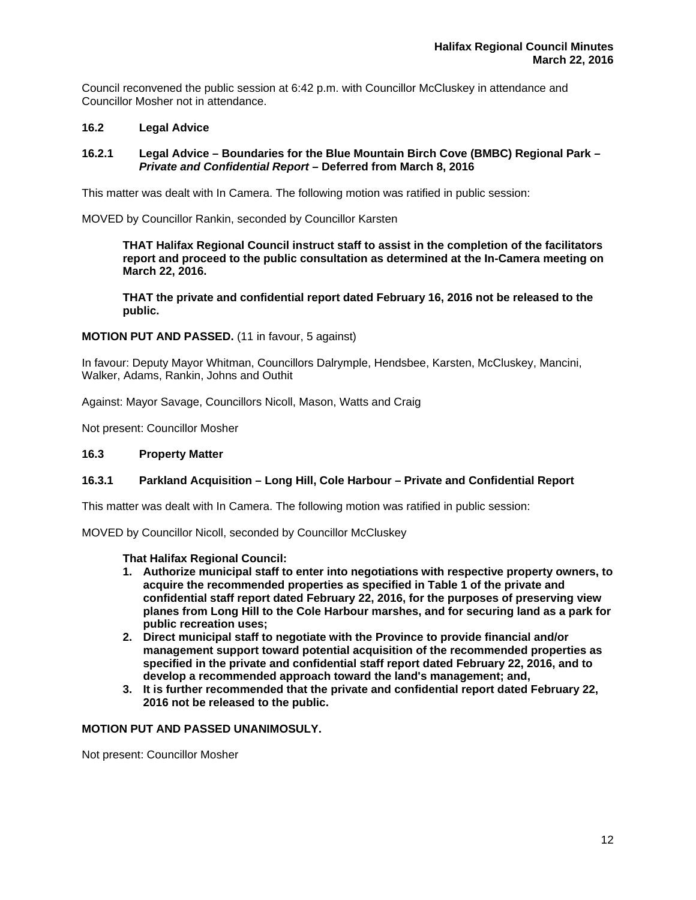Council reconvened the public session at 6:42 p.m. with Councillor McCluskey in attendance and Councillor Mosher not in attendance.

# **16.2 Legal Advice**

# **16.2.1 Legal Advice – Boundaries for the Blue Mountain Birch Cove (BMBC) Regional Park** *– Private and Confidential Report –* **Deferred from March 8, 2016**

This matter was dealt with In Camera. The following motion was ratified in public session:

MOVED by Councillor Rankin, seconded by Councillor Karsten

**THAT Halifax Regional Council instruct staff to assist in the completion of the facilitators report and proceed to the public consultation as determined at the In-Camera meeting on March 22, 2016.** 

**THAT the private and confidential report dated February 16, 2016 not be released to the public.** 

## **MOTION PUT AND PASSED.** (11 in favour, 5 against)

In favour: Deputy Mayor Whitman, Councillors Dalrymple, Hendsbee, Karsten, McCluskey, Mancini, Walker, Adams, Rankin, Johns and Outhit

Against: Mayor Savage, Councillors Nicoll, Mason, Watts and Craig

Not present: Councillor Mosher

## **16.3 Property Matter**

# **16.3.1 Parkland Acquisition – Long Hill, Cole Harbour – Private and Confidential Report**

This matter was dealt with In Camera. The following motion was ratified in public session:

MOVED by Councillor Nicoll, seconded by Councillor McCluskey

## **That Halifax Regional Council:**

- **1. Authorize municipal staff to enter into negotiations with respective property owners, to acquire the recommended properties as specified in Table 1 of the private and confidential staff report dated February 22, 2016, for the purposes of preserving view planes from Long Hill to the Cole Harbour marshes, and for securing land as a park for public recreation uses;**
- **2. Direct municipal staff to negotiate with the Province to provide financial and/or management support toward potential acquisition of the recommended properties as specified in the private and confidential staff report dated February 22, 2016, and to develop a recommended approach toward the land's management; and,**
- **3. It is further recommended that the private and confidential report dated February 22, 2016 not be released to the public.**

## **MOTION PUT AND PASSED UNANIMOSULY.**

Not present: Councillor Mosher